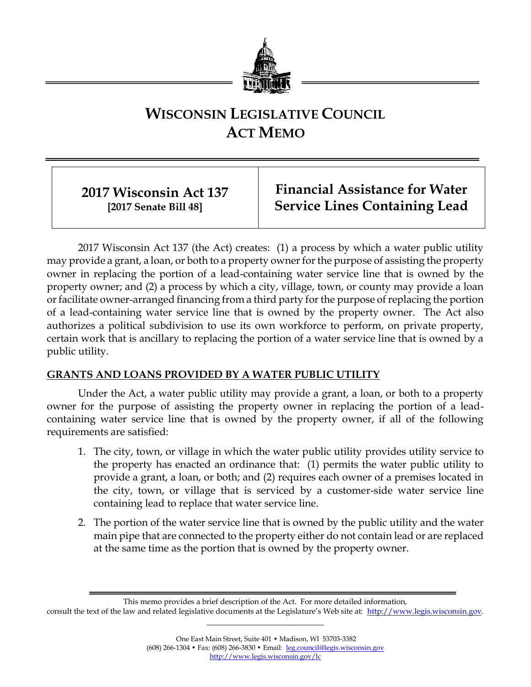

# **WISCONSIN LEGISLATIVE COUNCIL ACT MEMO**

# **2017 Wisconsin Act 137 [2017 Senate Bill 48]**

**Financial Assistance for Water Service Lines Containing Lead**

2017 Wisconsin Act 137 (the Act) creates: (1) a process by which a water public utility may provide a grant, a loan, or both to a property owner for the purpose of assisting the property owner in replacing the portion of a lead-containing water service line that is owned by the property owner; and (2) a process by which a city, village, town, or county may provide a loan or facilitate owner-arranged financing from a third party for the purpose of replacing the portion of a lead-containing water service line that is owned by the property owner. The Act also authorizes a political subdivision to use its own workforce to perform, on private property, certain work that is ancillary to replacing the portion of a water service line that is owned by a public utility.

## **GRANTS AND LOANS PROVIDED BY A WATER PUBLIC UTILITY**

Under the Act, a water public utility may provide a grant, a loan, or both to a property owner for the purpose of assisting the property owner in replacing the portion of a leadcontaining water service line that is owned by the property owner, if all of the following requirements are satisfied:

- 1. The city, town, or village in which the water public utility provides utility service to the property has enacted an ordinance that: (1) permits the water public utility to provide a grant, a loan, or both; and (2) requires each owner of a premises located in the city, town, or village that is serviced by a customer-side water service line containing lead to replace that water service line.
- 2. The portion of the water service line that is owned by the public utility and the water main pipe that are connected to the property either do not contain lead or are replaced at the same time as the portion that is owned by the property owner.

This memo provides a brief description of the Act. For more detailed information,

consult the text of the law and related legislative documents at the Legislature's Web site at: [http://www.legis.wisconsin.gov.](http://www.legis.wisconsin.gov/)

**\_\_\_\_\_\_\_\_\_\_\_\_\_\_\_\_\_\_\_\_\_\_\_\_\_\_\_**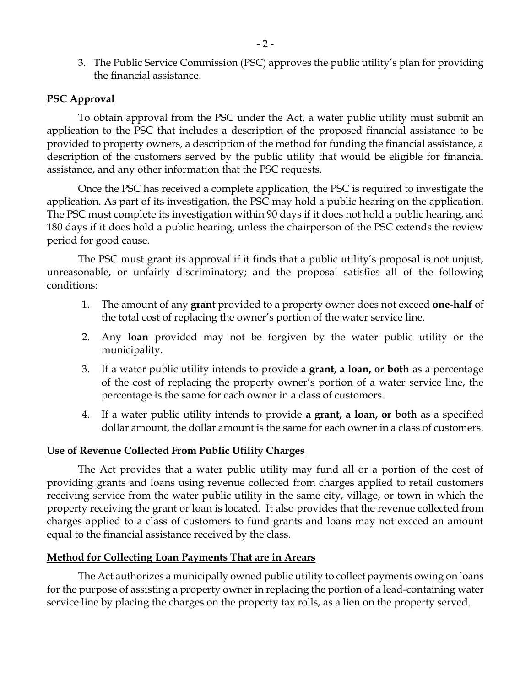3. The Public Service Commission (PSC) approves the public utility's plan for providing the financial assistance.

#### **PSC Approval**

To obtain approval from the PSC under the Act, a water public utility must submit an application to the PSC that includes a description of the proposed financial assistance to be provided to property owners, a description of the method for funding the financial assistance, a description of the customers served by the public utility that would be eligible for financial assistance, and any other information that the PSC requests.

Once the PSC has received a complete application, the PSC is required to investigate the application. As part of its investigation, the PSC may hold a public hearing on the application. The PSC must complete its investigation within 90 days if it does not hold a public hearing, and 180 days if it does hold a public hearing, unless the chairperson of the PSC extends the review period for good cause.

The PSC must grant its approval if it finds that a public utility's proposal is not unjust, unreasonable, or unfairly discriminatory; and the proposal satisfies all of the following conditions:

- 1. The amount of any **grant** provided to a property owner does not exceed **one-half** of the total cost of replacing the owner's portion of the water service line.
- 2. Any **loan** provided may not be forgiven by the water public utility or the municipality.
- 3. If a water public utility intends to provide **a grant, a loan, or both** as a percentage of the cost of replacing the property owner's portion of a water service line, the percentage is the same for each owner in a class of customers.
- 4. If a water public utility intends to provide **a grant, a loan, or both** as a specified dollar amount, the dollar amount is the same for each owner in a class of customers.

#### **Use of Revenue Collected From Public Utility Charges**

The Act provides that a water public utility may fund all or a portion of the cost of providing grants and loans using revenue collected from charges applied to retail customers receiving service from the water public utility in the same city, village, or town in which the property receiving the grant or loan is located. It also provides that the revenue collected from charges applied to a class of customers to fund grants and loans may not exceed an amount equal to the financial assistance received by the class.

#### **Method for Collecting Loan Payments That are in Arears**

The Act authorizes a municipally owned public utility to collect payments owing on loans for the purpose of assisting a property owner in replacing the portion of a lead-containing water service line by placing the charges on the property tax rolls, as a lien on the property served.